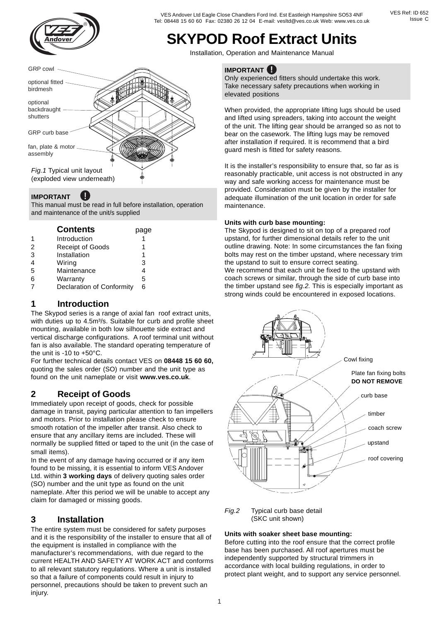

## **SKYPOD Roof Extract Units**<br>Installation, Operation and Maintenance Manual

#### fan, plate & motor assembly GRP curb base optional backdraught shutters *Fig.1* Typical unit layout (exploded view underneath) GRP cowl optional fitted birdmesh

#### **IMPORTANT !**

This manual must be read in full before installation, operation and maintenance of the unit/s supplied

|                | <b>Contents</b>           | page |  |
|----------------|---------------------------|------|--|
|                | Introduction              |      |  |
| 2              | <b>Receipt of Goods</b>   |      |  |
| 3              | Installation              | 1    |  |
| $\overline{4}$ | Wiring                    | 3    |  |
| 5              | Maintenance               | 4    |  |
| 6              | Warranty                  | 5    |  |
|                | Declaration of Conformity | 6    |  |

#### **1 Introduction**

The Skypod series is a range of axial fan roof extract units, with duties up to 4.5m<sup>3</sup>/s. Suitable for curb and profile sheet mounting, available in both low silhouette side extract and vertical discharge configurations. A roof terminal unit without fan is also available. The standard operating temperature of the unit is -10 to +50°C.

For further technical details contact VES on **08448 15 60 60,** quoting the sales order (SO) number and the unit type as found on the unit nameplate or visit **www.ves.co.uk**.

### **2 Receipt of Goods**

Immediately upon receipt of goods, check for possible damage in transit, paying particular attention to fan impellers and motors. Prior to installation please check to ensure smooth rotation of the impeller after transit. Also check to ensure that any ancillary items are included. These will normally be supplied fitted or taped to the unit (in the case of small items).

In the event of any damage having occurred or if any item found to be missing, it is essential to inform VES Andover Ltd. within **3 working days** of delivery quoting sales order (SO) number and the unit type as found on the unit nameplate. After this period we will be unable to accept any claim for damaged or missing goods.

#### **3 Installation**

The entire system must be considered for safety purposes and it is the responsibility of the installer to ensure that all of the equipment is installed in compliance with the manufacturer's recommendations, with due regard to the current HEALTH AND SAFETY AT WORK ACT and conforms to all relevant statutory regulations. Where a unit is installed so that a failure of components could result in injury to personnel, precautions should be taken to prevent such an injury.

#### **! IMPORTANT**

Only experienced fitters should undertake this work. Take necessary safety precautions when working in elevated positions

When provided, the appropriate lifting lugs should be used and lifted using spreaders, taking into account the weight of the unit. The lifting gear should be arranged so as not to bear on the casework. The lifting lugs may be removed after installation if required. It is recommend that a bird guard mesh is fitted for safety reasons.

It is the installer's responsibility to ensure that, so far as is reasonably practicable, unit access is not obstructed in any way and safe working access for maintenance must be provided. Consideration must be given by the installer for adequate illumination of the unit location in order for safe maintenance.

#### **Units with curb base mounting:**

The Skypod is designed to sit on top of a prepared roof upstand, for further dimensional details refer to the unit outline drawing. Note: In some circumstances the fan fixing bolts may rest on the timber upstand, where necessary trim the upstand to suit to ensure correct seating.

We recommend that each unit be fixed to the upstand with coach screws or similar, through the side of curb base into the timber upstand see *fig.2.* This is especially important as strong winds could be encountered in exposed locations.



*Fig.2* Typical curb base detail (SKC unit shown)

#### **Units with soaker sheet base mounting:**

Before cutting into the roof ensure that the correct profile base has been purchased. All roof apertures must be independently supported by structural trimmers in accordance with local building regulations, in order to protect plant weight, and to support any service personnel.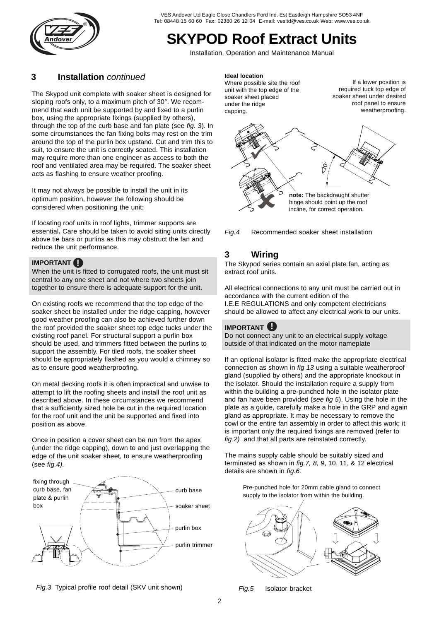

### **SKYPOD Roof Extract Units**<br>Installation, Operation and Maintenance Manual

#### **3 Installation** *continued* **Ideal location**

The Skypod unit complete with soaker sheet is designed for sloping roofs only, to a maximum pitch of 30°. We recommend that each unit be supported by and fixed to a purlin box, using the appropriate fixings (supplied by others), through the top of the curb base and fan plate (see *fig. 3*)*.* In some circumstances the fan fixing bolts may rest on the trim around the top of the purlin box upstand. Cut and trim this to suit, to ensure the unit is correctly seated. This installation may require more than one engineer as access to both the roof and ventilated area may be required. The soaker sheet acts as flashing to ensure weather proofing.

It may not always be possible to install the unit in its optimum position, however the following should be considered when positioning the unit:

If locating roof units in roof lights, trimmer supports are essential**.** Care should be taken to avoid siting units directly above tie bars or purlins as this may obstruct the fan and reduce the unit performance.

#### **! IMPORTANT**

When the unit is fitted to corrugated roofs, the unit must sit central to any one sheet and not where two sheets join together to ensure there is adequate support for the unit.

On existing roofs we recommend that the top edge of the soaker sheet be installed under the ridge capping, however good weather proofing can also be achieved further down the roof provided the soaker sheet top edge tucks under the existing roof panel. For structural support a purlin box should be used, and trimmers fitted between the purlins to support the assembly. For tiled roofs, the soaker sheet should be appropriately flashed as you would a chimney so as to ensure good weatherproofing.

On metal decking roofs it is often impractical and unwise to attempt to lift the roofing sheets and install the roof unit as described above. In these circumstances we recommend that a sufficiently sized hole be cut in the required location for the roof unit and the unit be supported and fixed into position as above.

Once in position a cover sheet can be run from the apex (under the ridge capping), down to and just overlapping the edge of the unit soaker sheet, to ensure weatherproofing (see *fig.4).*



*Fig.3* Typical profile roof detail (SKV unit shown) *Fig.5* Isolator bracket

Where possible site the roof unit with the top edge of the soaker sheet placed under the ridge capping.

If a lower position is required tuck top edge of soaker sheet under desired roof panel to ensure weatherproofing.





#### **3 Wiring**

The Skypod series contain an axial plate fan, acting as extract roof units.

All electrical connections to any unit must be carried out in accordance with the current edition of the I.E.E REGULATIONS and only competent electricians should be allowed to affect any electrical work to our units.

#### **! IMPORTANT**

Do not connect any unit to an electrical supply voltage outside of that indicated on the motor nameplate

If an optional isolator is fitted make the appropriate electrical connection as shown in *fig 13* using a suitable weatherproof gland (supplied by others) and the appropriate knockout in the isolator. Should the installation require a supply from within the building a pre-punched hole in the isolator plate and fan have been provided (*see fig 5*). Using the hole in the plate as a guide, carefully make a hole in the GRP and again gland as appropriate. It may be necessary to remove the cowl or the entire fan assembly in order to affect this work; it is important only the required fixings are removed (refer to *fig 2)* and that all parts are reinstated correctly.

The mains supply cable should be suitably sized and terminated as shown in *fig.7, 8, 9*, 10, 11, & 12 electrical details are shown in *fig.6.*

Pre-punched hole for 20mm cable gland to connect supply to the isolator from within the building.



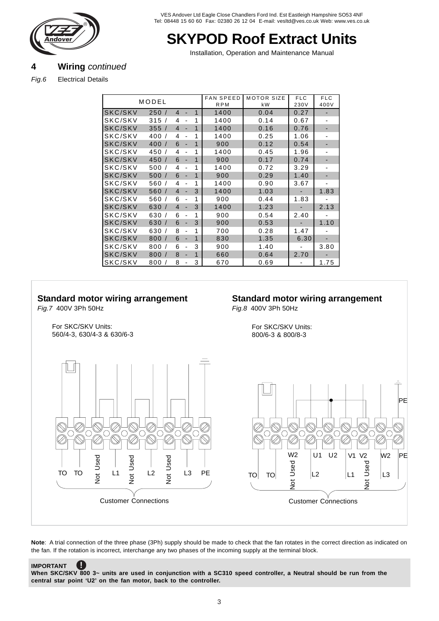

# **SKYPOD Roof Extract Units**<br>
Installation, Operation and Maintenance Manual<br> **A Wiring continued**

#### **4 Wiring** *continued*

*Fig.6* Electrical Details

|         | MODEL                 |                |                |   | <b>FAN SPEED</b><br><b>RPM</b> | <b>MOTOR SIZE</b><br>kW | <b>FLC</b><br>230V | <b>FLC</b><br>400V |
|---------|-----------------------|----------------|----------------|---|--------------------------------|-------------------------|--------------------|--------------------|
| SKC/SKV | 250/                  | 4              | ٠              | 1 | 1400                           | 0.04                    | 0.27               |                    |
| SKC/SKV | 315                   | 4              | ٠              | 1 | 1400                           | 0.14                    | 0.67               |                    |
| SKC/SKV | 355/                  | $\overline{4}$ | ۰              | 1 | 1400                           | 0.16                    | 0.76               |                    |
| SKC/SKV | 400/                  | 4              | ٠              | 1 | 1400                           | 0.25                    | 1.06               |                    |
| SKC/SKV | 400<br>$\prime$       | 6              | ÷,             | 1 | 900                            | 0.12                    | 0.54               |                    |
| SKC/SKV | 450/                  | 4              | $\overline{a}$ | 1 | 1400                           | 0.45                    | 1.96               |                    |
| SKC/SKV | 450<br>$\sqrt{ }$     | 6              | L,             | 1 | 900                            | 0.17                    | 0.74               |                    |
| SKC/SKV | 500                   | 4              | ٠              | 1 | 1400                           | 0.72                    | 3.29               |                    |
| SKC/SKV | 500/                  | 6              | ÷,             | 1 | 900                            | 0.29                    | 1.40               |                    |
| SKC/SKV | 560/                  | 4              | ٠              | 1 | 1400                           | 0.90                    | 3.67               | ٠                  |
| SKC/SKV | 560<br>$\prime$       | $\overline{4}$ | L,             | 3 | 1400                           | 1.03                    |                    | 1.83               |
| SKC/SKV | 560<br>$\overline{1}$ | 6              | $\overline{a}$ | 1 | 900                            | 0.44                    | 1.83               |                    |
| SKC/SKV | 630/                  | $\overline{4}$ | ä,             | 3 | 1400                           | 1.23                    |                    | 2.13               |
| SKC/SKV | 630                   | 6              | $\overline{a}$ | 1 | 900                            | 0.54                    | 2.40               | ٠                  |
| SKC/SKV | 630<br>$\sqrt{ }$     | 6              | ÷,             | 3 | 900                            | 0.53                    |                    | 1.10               |
| SKC/SKV | 630/                  | 8              | ٠              | 1 | 700                            | 0.28                    | 1.47               |                    |
| SKC/SKV | 800/                  | 6              | ÷              | 1 | 830                            | 1.35                    | 6.30               |                    |
| SKC/SKV | 800<br>$\prime$       | 6              | $\overline{a}$ | 3 | 900                            | 1.40                    | ٠                  | 3.80               |
| SKC/SKV | 800                   | 8              | ä,             | 1 | 660                            | 0.64                    | 2.70               |                    |
| SKC/SKV | 800<br>$\prime$       | 8              | -              | 3 | 670                            | 0.69                    |                    | 1.75               |

#### **Standard motor wiring arrangement**

#### **Standard motor wiring arrangement** *Fig.8* 400V 3Ph 50Hz

*Fig.7* 400V 3Ph 50Hz

For SKC/SKV Units: 560/4-3, 630/4-3 & 630/6-3



For SKC/SKV Units:

800/6-3 & 800/8-3



Note: A trial connection of the three phase (3Ph) supply should be made to check that the fan rotates in the correct direction as indicated on the fan. If the rotation is incorrect, interchange any two phases of the incoming supply at the terminal block.

**IMPORTANT**

**!**

**When SKC/SKV 800 3~ units are used in conjunction with a SC310 speed controller, a Neutral should be run from the central star point 'U2' on the fan motor, back to the controller.**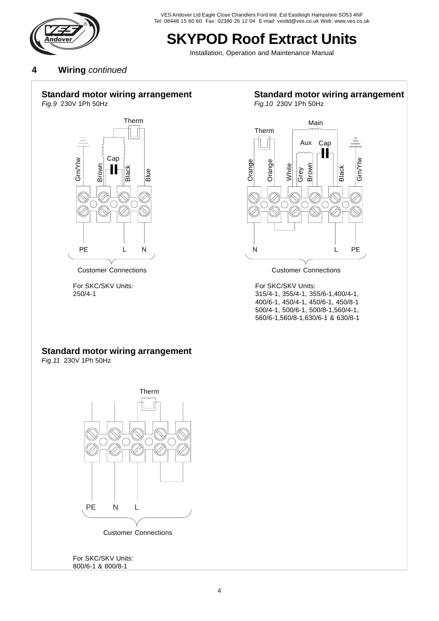

### **SKYPOD Roof Extract Units**<br>Installation, Operation and Maintenance Manual

**4 Wiring** *continued*

#### **Standard motor wiring arrangement**

*Fig.9* 230V 1Ph 50Hz



For SKC/SKV Units: 250/4-1

#### **Standard motor wiring arrangement**

*Fig.10* 230V 1Ph 50Hz



Customer Connections Customer Connections

For SKC/SKV Units: 315/4-1, 355/4-1, 355/6-1,400/4-1, 400/6-1, 450/4-1, 450/6-1, 450/8-1 500/4-1, 500/6-1, 500/8-1,560/4-1, 560/6-1,560/8-1,630/6-1 & 630/8-1

#### **Standard motor wiring arrangement**

*Fig.11* 230V 1Ph 50Hz



For SKC/SKV Units: 800/6-1 & 800/8-1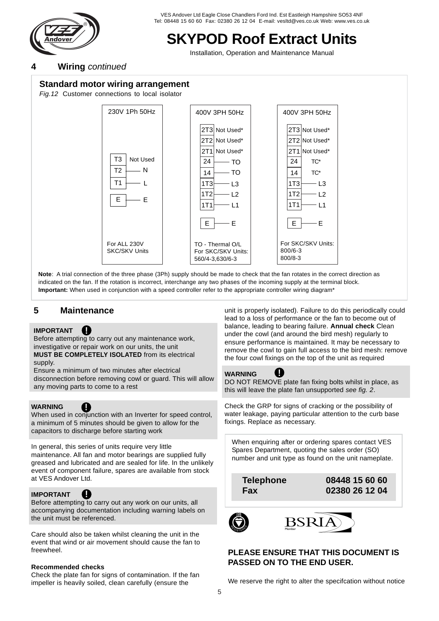

# **SKYPOD Roof Extract Units**<br>
Installation, Operation and Maintenance Manual<br> **A Wiring continued**

#### **4 Wiring** *continued*

#### **Standard motor wiring arrangement**

*Fig.12* Customer connections to local isolator



**Note**: A trial connection of the three phase (3Ph) supply should be made to check that the fan rotates in the correct direction as indicated on the fan. If the rotation is incorrect, interchange any two phases of the incoming supply at the terminal block. **Important:** When used in conjunction with a speed controller refer to the appropriate controller wiring diagram\*

#### **5 Maintenance**

#### **IMPORTANT !!!**

Before attempting to carry out any maintenance work, investigative or repair work on our units, the unit **MUST BE COMPLETELY ISOLATED** from its electrical

supply.

Ensure a minimum of two minutes after electrical disconnection before removing cowl or guard. This will allow any moving parts to come to a rest

#### **WARNING**

**!** 

When used in conjunction with an Inverter for speed control, a minimum of 5 minutes should be given to allow for the capacitors to discharge before starting work

In general, this series of units require very little maintenance. All fan and motor bearings are supplied fully greased and lubricated and are sealed for life. In the unlikely event of component failure, spares are available from stock at VES Andover Ltd.

#### **IMPORTANT**

**!**  Before attempting to carry out any work on our units, all accompanying documentation including warning labels on the unit must be referenced.

Care should also be taken whilst cleaning the unit in the event that wind or air movement should cause the fan to freewheel.

#### **Recommended checks**

Check the plate fan for signs of contamination. If the fan impeller is heavily soiled, clean carefully (ensure the

unit is properly isolated). Failure to do this periodically could lead to a loss of performance or the fan to become out of balance, leading to bearing failure. **Annual check** Clean under the cowl (and around the bird mesh) regularly to ensure performance is maintained. It may be necessary to remove the cowl to gain full access to the bird mesh: remove the four cowl fixings on the top of the unit as required



DO NOT REMOVE plate fan fixing bolts whilst in place, as this will leave the plate fan unsupported *see fig. 2*.

Check the GRP for signs of cracking or the possibility of water leakage, paying particular attention to the curb base fixings. Replace as necessary.

When enquiring after or ordering spares contact VES Spares Department, quoting the sales order (SO) number and unit type as found on the unit nameplate.

**Telephone 08448 15 60 60 Fax 02380 26 12 04**

**!** 



#### **PLEASE ENSURE THAT THIS DOCUMENT IS PASSED ON TO THE END USER.**

We reserve the right to alter the specifcation without notice